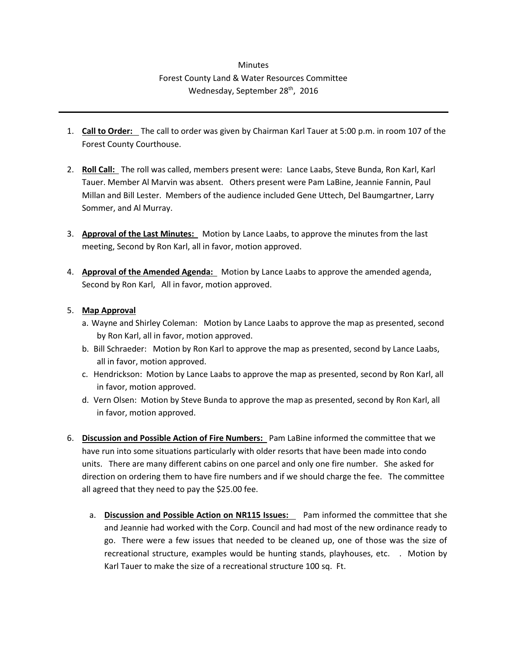## **Minutes** Forest County Land & Water Resources Committee Wednesday, September 28<sup>th</sup>, 2016

- 1. **Call to Order:** The call to order was given by Chairman Karl Tauer at 5:00 p.m. in room 107 of the Forest County Courthouse.
- 2. **Roll Call:** The roll was called, members present were: Lance Laabs, Steve Bunda, Ron Karl, Karl Tauer. Member Al Marvin was absent. Others present were Pam LaBine, Jeannie Fannin, Paul Millan and Bill Lester. Members of the audience included Gene Uttech, Del Baumgartner, Larry Sommer, and Al Murray.
- 3. **Approval of the Last Minutes:** Motion by Lance Laabs, to approve the minutes from the last meeting, Second by Ron Karl, all in favor, motion approved.
- 4. **Approval of the Amended Agenda:** Motion by Lance Laabs to approve the amended agenda, Second by Ron Karl, All in favor, motion approved.

## 5. **Map Approval**

- a. Wayne and Shirley Coleman: Motion by Lance Laabs to approve the map as presented, second by Ron Karl, all in favor, motion approved.
- b. Bill Schraeder: Motion by Ron Karl to approve the map as presented, second by Lance Laabs, all in favor, motion approved.
- c. Hendrickson: Motion by Lance Laabs to approve the map as presented, second by Ron Karl, all in favor, motion approved.
- d. Vern Olsen: Motion by Steve Bunda to approve the map as presented, second by Ron Karl, all in favor, motion approved.
- 6. **Discussion and Possible Action of Fire Numbers:** Pam LaBine informed the committee that we have run into some situations particularly with older resorts that have been made into condo units. There are many different cabins on one parcel and only one fire number. She asked for direction on ordering them to have fire numbers and if we should charge the fee. The committee all agreed that they need to pay the \$25.00 fee.
	- a. **Discussion and Possible Action on NR115 Issues:** Pam informed the committee that she and Jeannie had worked with the Corp. Council and had most of the new ordinance ready to go. There were a few issues that needed to be cleaned up, one of those was the size of recreational structure, examples would be hunting stands, playhouses, etc. . Motion by Karl Tauer to make the size of a recreational structure 100 sq. Ft.